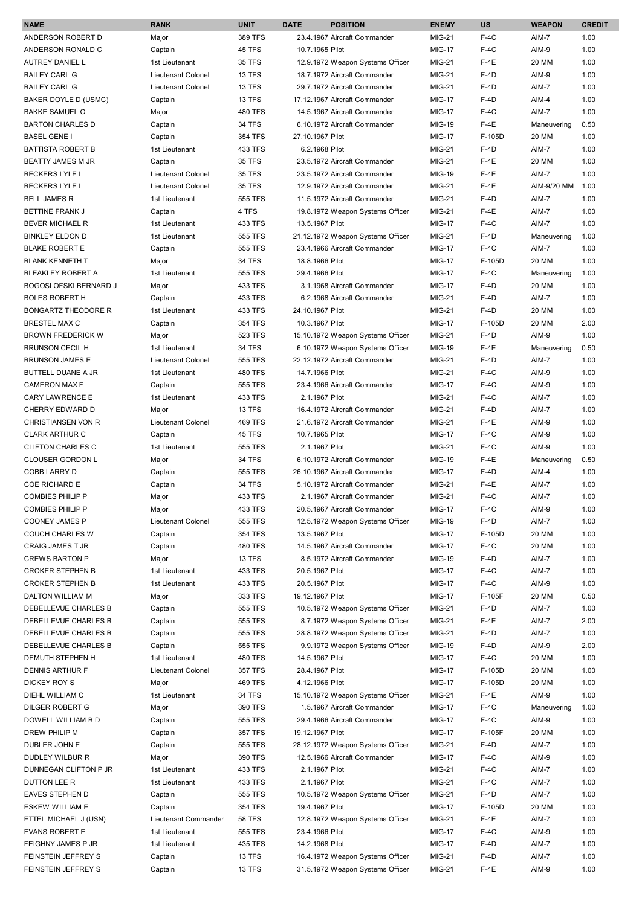| <b>NAME</b>                                 | <b>RANK</b>                 | <b>UNIT</b>              | <b>DATE</b>      | <b>POSITION</b>                                               | <b>ENEMY</b>                   | <b>US</b>      | <b>WEAPON</b>  | <b>CREDIT</b> |
|---------------------------------------------|-----------------------------|--------------------------|------------------|---------------------------------------------------------------|--------------------------------|----------------|----------------|---------------|
| ANDERSON ROBERT D                           | Major                       | 389 TFS                  |                  | 23.4.1967 Aircraft Commander                                  | <b>MIG-21</b>                  | $F-4C$         | AIM-7          | 1.00          |
| ANDERSON RONALD C                           | Captain                     | <b>45 TFS</b>            | 10.7.1965 Pilot  |                                                               | <b>MIG-17</b>                  | $F-4C$         | AIM-9          | 1.00          |
| AUTREY DANIEL L                             | 1st Lieutenant              | <b>35 TFS</b>            |                  | 12.9.1972 Weapon Systems Officer                              | <b>MIG-21</b>                  | $F-4E$         | 20 MM          | 1.00          |
| <b>BAILEY CARL G</b>                        | Lieutenant Colonel          | <b>13 TFS</b>            |                  | 18.7.1972 Aircraft Commander                                  | <b>MIG-21</b>                  | $F-4D$         | AIM-9          | 1.00          |
| <b>BAILEY CARL G</b>                        | Lieutenant Colonel          | <b>13 TFS</b>            |                  | 29.7.1972 Aircraft Commander                                  | <b>MIG-21</b>                  | $F-4D$         | AIM-7          | 1.00          |
| BAKER DOYLE D (USMC)                        | Captain                     | <b>13 TFS</b>            |                  | 17.12.1967 Aircraft Commander                                 | <b>MIG-17</b>                  | $F-4D$         | AIM-4          | 1.00          |
| <b>BAKKE SAMUEL O</b>                       | Major                       | <b>480 TFS</b>           |                  | 14.5.1967 Aircraft Commander                                  | <b>MIG-17</b>                  | $F-4C$         | AIM-7          | 1.00          |
| <b>BARTON CHARLES D</b>                     | Captain                     | <b>34 TFS</b>            |                  | 6.10.1972 Aircraft Commander                                  | MIG-19                         | $F-4E$         | Maneuvering    | 0.50          |
| <b>BASEL GENE I</b>                         | Captain                     | 354 TFS                  | 27.10.1967 Pilot |                                                               | <b>MIG-17</b>                  | F-105D         | 20 MM          | 1.00          |
| <b>BATTISTA ROBERT B</b>                    | 1st Lieutenant              | 433 TFS                  | 6.2.1968 Pilot   |                                                               | <b>MIG-21</b>                  | $F-4D$         | AIM-7          | 1.00          |
| BEATTY JAMES M JR                           | Captain                     | <b>35 TFS</b>            |                  | 23.5.1972 Aircraft Commander                                  | <b>MIG-21</b>                  | $F-4E$         | 20 MM          | 1.00          |
| <b>BECKERS LYLE L</b>                       | Lieutenant Colonel          | <b>35 TFS</b>            |                  | 23.5.1972 Aircraft Commander                                  | <b>MIG-19</b>                  | $F-4E$         | AIM-7          | 1.00          |
| <b>BECKERS LYLE L</b>                       | Lieutenant Colonel          | <b>35 TFS</b>            |                  | 12.9.1972 Aircraft Commander                                  | <b>MIG-21</b>                  | $F-4E$         | AIM-9/20 MM    | 1.00          |
| <b>BELL JAMES R</b>                         | 1st Lieutenant              | 555 TFS                  |                  | 11.5.1972 Aircraft Commander                                  | <b>MIG-21</b>                  | $F-4D$         | AIM-7          | 1.00          |
| BETTINE FRANK J                             | Captain                     | 4 TFS                    |                  | 19.8.1972 Weapon Systems Officer                              | <b>MIG-21</b>                  | $F-4E$         | AIM-7          | 1.00          |
| BEVER MICHAEL R                             | 1st Lieutenant              | 433 TFS                  | 13.5.1967 Pilot  |                                                               | <b>MIG-17</b>                  | $F-4C$         | AIM-7          | 1.00          |
| <b>BINKLEY ELDON D</b>                      | 1st Lieutenant              | 555 TFS                  |                  | 21.12.1972 Weapon Systems Officer                             | MIG-21                         | F-4D           | Maneuvering    | 1.00          |
| <b>BLAKE ROBERT E</b>                       | Captain                     | 555 TFS                  |                  | 23.4.1966 Aircraft Commander                                  | <b>MIG-17</b>                  | $F-4C$         | AIM-7          | 1.00          |
| <b>BLANK KENNETH T</b>                      | Major                       | <b>34 TFS</b>            | 18.8.1966 Pilot  |                                                               | <b>MIG-17</b>                  | F-105D         | 20 MM          | 1.00          |
| <b>BLEAKLEY ROBERT A</b>                    | 1st Lieutenant              | 555 TFS                  | 29.4.1966 Pilot  |                                                               | <b>MIG-17</b>                  | $F-4C$         | Maneuvering    | 1.00          |
| <b>BOGOSLOFSKI BERNARD J</b>                | Major                       | 433 TFS                  |                  | 3.1.1968 Aircraft Commander                                   | <b>MIG-17</b>                  | $F-4D$         | 20 MM          | 1.00          |
| <b>BOLES ROBERT H</b>                       | Captain                     | 433 TFS                  |                  | 6.2.1968 Aircraft Commander                                   | MIG-21                         | $F-4D$         | AIM-7          | 1.00          |
| <b>BONGARTZ THEODORE R</b>                  | 1st Lieutenant              | 433 TFS                  | 24.10.1967 Pilot |                                                               | MIG-21                         | $F-4D$         | 20 MM          | 1.00          |
| <b>BRESTEL MAX C</b>                        | Captain                     | 354 TFS                  | 10.3.1967 Pilot  |                                                               | <b>MIG-17</b>                  | F-105D         | 20 MM          | 2.00          |
| <b>BROWN FREDERICK W</b>                    | Major                       | <b>523 TFS</b>           |                  | 15.10.1972 Weapon Systems Officer                             | <b>MIG-21</b>                  | $F-4D$         | AIM-9          | 1.00          |
| <b>BRUNSON CECIL H</b>                      | 1st Lieutenant              | <b>34 TFS</b>            |                  | 6.10.1972 Weapon Systems Officer                              | <b>MIG-19</b>                  | $F-4E$         | Maneuvering    | 0.50          |
| <b>BRUNSON JAMES E</b>                      | Lieutenant Colonel          | 555 TFS                  |                  | 22.12.1972 Aircraft Commander                                 | <b>MIG-21</b>                  | $F-4D$         | AIM-7          | 1.00          |
| BUTTELL DUANE A JR                          | 1st Lieutenant              | <b>480 TFS</b>           | 14.7.1966 Pilot  |                                                               | <b>MIG-21</b>                  | $F-4C$         | AIM-9          | 1.00          |
| <b>CAMERON MAX F</b>                        | Captain                     | 555 TFS                  |                  | 23.4.1966 Aircraft Commander                                  | <b>MIG-17</b>                  | $F-4C$         | AIM-9          | 1.00          |
| CARY LAWRENCE E                             | 1st Lieutenant              | 433 TFS                  | 2.1.1967 Pilot   |                                                               | <b>MIG-21</b>                  | $F-4C$         | AIM-7          | 1.00          |
| CHERRY EDWARD D                             | Major                       | 13 TFS                   |                  | 16.4.1972 Aircraft Commander                                  | <b>MIG-21</b>                  | $F-4D$         | AIM-7          | 1.00          |
| <b>CHRISTIANSEN VON R</b>                   | Lieutenant Colonel          | 469 TFS                  |                  | 21.6.1972 Aircraft Commander                                  | <b>MIG-21</b>                  | $F-4E$         | AIM-9          | 1.00          |
| <b>CLARK ARTHUR C</b>                       | Captain                     | <b>45 TFS</b>            | 10.7.1965 Pilot  |                                                               | <b>MIG-17</b>                  | $F-4C$         | AIM-9          | 1.00          |
| <b>CLIFTON CHARLES C</b>                    | 1st Lieutenant              | 555 TFS                  | 2.1.1967 Pilot   |                                                               | MIG-21                         | $F-4C$         | AIM-9          | 1.00          |
| CLOUSER GORDON L                            | Major                       | <b>34 TFS</b>            |                  | 6.10.1972 Aircraft Commander                                  | <b>MIG-19</b>                  | $F-4E$         | Maneuvering    | 0.50          |
| <b>COBB LARRY D</b><br><b>COE RICHARD E</b> | Captain                     | 555 TFS<br><b>34 TFS</b> |                  | 26.10.1967 Aircraft Commander<br>5.10.1972 Aircraft Commander | <b>MIG-17</b><br><b>MIG-21</b> | F-4D<br>$F-4E$ | AIM-4<br>AIM-7 | 1.00<br>1.00  |
| <b>COMBIES PHILIP P</b>                     | Captain                     | 433 TFS                  |                  | 2.1.1967 Aircraft Commander                                   | MIG-21                         | $F-4C$         | AIM-7          | 1.00          |
|                                             | Major                       | 433 TFS                  |                  | 20.5.1967 Aircraft Commander                                  | <b>MIG-17</b>                  | $F-4C$         | AIM-9          | 1.00          |
| <b>COMBIES PHILIP P</b><br>COONEY JAMES P   | Major<br>Lieutenant Colonel | 555 TFS                  |                  |                                                               | <b>MIG-19</b>                  | $F-4D$         | AIM-7          | 1.00          |
| <b>COUCH CHARLES W</b>                      | Captain                     | 354 TFS                  | 13.5.1967 Pilot  | 12.5.1972 Weapon Systems Officer                              | MIG-17                         | F-105D         | 20 MM          | 1.00          |
| CRAIG JAMES T JR                            | Captain                     | 480 TFS                  |                  | 14.5.1967 Aircraft Commander                                  | <b>MIG-17</b>                  | $F-4C$         | 20 MM          | 1.00          |
| <b>CREWS BARTON P</b>                       | Major                       | 13 TFS                   |                  | 8.5.1972 Aircraft Commander                                   | <b>MIG-19</b>                  | $F-4D$         | AIM-7          | 1.00          |
| <b>CROKER STEPHEN B</b>                     | 1st Lieutenant              | 433 TFS                  | 20.5.1967 Pilot  |                                                               | <b>MIG-17</b>                  | $F-4C$         | AIM-7          | 1.00          |
| <b>CROKER STEPHEN B</b>                     | 1st Lieutenant              | 433 TFS                  | 20.5.1967 Pilot  |                                                               | <b>MIG-17</b>                  | $F-4C$         | AIM-9          | 1.00          |
| DALTON WILLIAM M                            | Major                       | 333 TFS                  | 19.12.1967 Pilot |                                                               | <b>MIG-17</b>                  | F-105F         | 20 MM          | 0.50          |
| DEBELLEVUE CHARLES B                        | Captain                     | 555 TFS                  |                  | 10.5.1972 Weapon Systems Officer                              | MIG-21                         | $F-4D$         | AIM-7          | 1.00          |
| DEBELLEVUE CHARLES B                        | Captain                     | 555 TFS                  |                  | 8.7.1972 Weapon Systems Officer                               | MIG-21                         | $F-4E$         | AIM-7          | 2.00          |
| DEBELLEVUE CHARLES B                        | Captain                     | 555 TFS                  |                  | 28.8.1972 Weapon Systems Officer                              | MIG-21                         | $F-4D$         | AIM-7          | 1.00          |
| DEBELLEVUE CHARLES B                        | Captain                     | 555 TFS                  |                  | 9.9.1972 Weapon Systems Officer                               | MIG-19                         | $F-4D$         | AIM-9          | 2.00          |
| DEMUTH STEPHEN H                            | 1st Lieutenant              | <b>480 TFS</b>           | 14.5.1967 Pilot  |                                                               | <b>MIG-17</b>                  | $F-4C$         | 20 MM          | 1.00          |
| DENNIS ARTHUR F                             | Lieutenant Colonel          | 357 TFS                  | 28.4.1967 Pilot  |                                                               | <b>MIG-17</b>                  | F-105D         | 20 MM          | 1.00          |
| DICKEY ROY S                                | Major                       | 469 TFS                  | 4.12.1966 Pilot  |                                                               | <b>MIG-17</b>                  | F-105D         | 20 MM          | 1.00          |
| DIEHL WILLIAM C                             | 1st Lieutenant              | <b>34 TFS</b>            |                  | 15.10.1972 Weapon Systems Officer                             | MIG-21                         | $F-4E$         | AIM-9          | 1.00          |
| DILGER ROBERT G                             | Major                       | 390 TFS                  |                  | 1.5.1967 Aircraft Commander                                   | <b>MIG-17</b>                  | $F-4C$         | Maneuvering    | 1.00          |
| DOWELL WILLIAM B D                          | Captain                     | 555 TFS                  |                  | 29.4.1966 Aircraft Commander                                  | <b>MIG-17</b>                  | $F-4C$         | AIM-9          | 1.00          |
| DREW PHILIP M                               | Captain                     | 357 TFS                  | 19.12.1967 Pilot |                                                               | <b>MIG-17</b>                  | F-105F         | 20 MM          | 1.00          |
| DUBLER JOHN E                               | Captain                     | 555 TFS                  |                  | 28.12.1972 Weapon Systems Officer                             | MIG-21                         | F-4D           | AIM-7          | 1.00          |
| DUDLEY WILBUR R                             | Major                       | 390 TFS                  |                  | 12.5.1966 Aircraft Commander                                  | <b>MIG-17</b>                  | $F-4C$         | AIM-9          | 1.00          |
| DUNNEGAN CLIFTON P JR                       | 1st Lieutenant              | 433 TFS                  | 2.1.1967 Pilot   |                                                               | MIG-21                         | $F-4C$         | AIM-7          | 1.00          |
| DUTTON LEE R                                | 1st Lieutenant              | 433 TFS                  | 2.1.1967 Pilot   |                                                               | MIG-21                         | $F-4C$         | AIM-7          | 1.00          |
| EAVES STEPHEN D                             | Captain                     | 555 TFS                  |                  | 10.5.1972 Weapon Systems Officer                              | MIG-21                         | $F-4D$         | AIM-7          | 1.00          |
| ESKEW WILLIAM E                             | Captain                     | 354 TFS                  | 19.4.1967 Pilot  |                                                               | <b>MIG-17</b>                  | F-105D         | 20 MM          | 1.00          |
| ETTEL MICHAEL J (USN)                       | Lieutenant Commander        | <b>58 TFS</b>            |                  | 12.8.1972 Weapon Systems Officer                              | MIG-21                         | $F-4E$         | AIM-7          | 1.00          |
| <b>EVANS ROBERT E</b>                       | 1st Lieutenant              | 555 TFS                  | 23.4.1966 Pilot  |                                                               | <b>MIG-17</b>                  | $F-4C$         | AIM-9          | 1.00          |
| FEIGHNY JAMES P JR                          | 1st Lieutenant              | 435 TFS                  | 14.2.1968 Pilot  |                                                               | <b>MIG-17</b>                  | $F-4D$         | AIM-7          | 1.00          |
| FEINSTEIN JEFFREY S                         | Captain                     | 13 TFS                   |                  | 16.4.1972 Weapon Systems Officer                              | MIG-21                         | F-4D           | AIM-7          | 1.00          |
| FEINSTEIN JEFFREY S                         | Captain                     | 13 TFS                   |                  | 31.5.1972 Weapon Systems Officer                              | <b>MIG-21</b>                  | $F-4E$         | AIM-9          | 1.00          |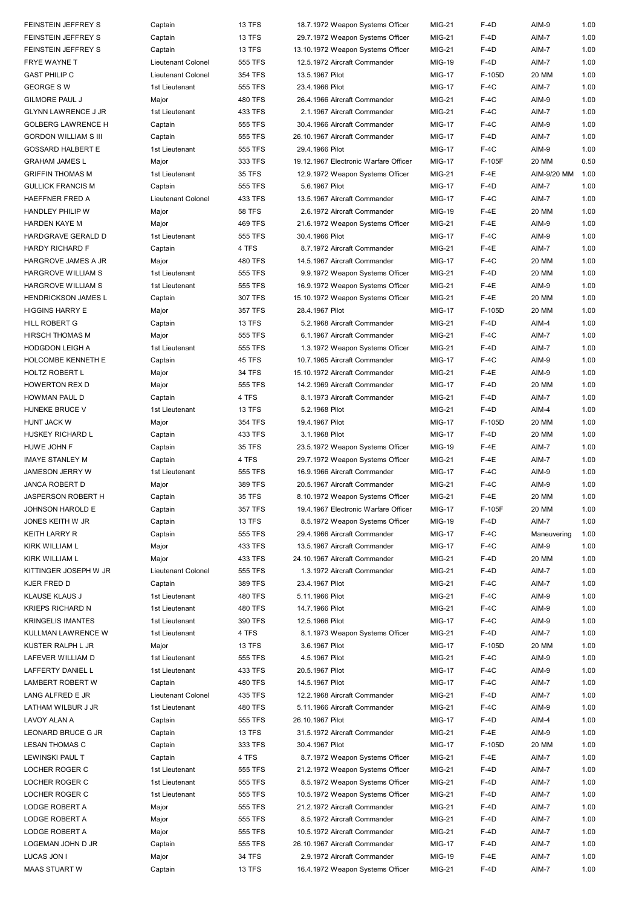| FEINSTEIN JEFFREY S        | Captain            | 13 TFS         | 18.7.1972 Weapon Systems Officer      | MIG-21        | F-4D   | AIM-9       | 1.00 |
|----------------------------|--------------------|----------------|---------------------------------------|---------------|--------|-------------|------|
| FEINSTEIN JEFFREY S        | Captain            | <b>13 TFS</b>  | 29.7.1972 Weapon Systems Officer      | MIG-21        | F-4D   | AIM-7       | 1.00 |
| FEINSTEIN JEFFREY S        | Captain            | 13 TFS         | 13.10.1972 Weapon Systems Officer     | MIG-21        | F-4D   | AIM-7       | 1.00 |
| FRYE WAYNE T               | Lieutenant Colonel | 555 TFS        | 12.5.1972 Aircraft Commander          | MIG-19        | $F-4D$ | AIM-7       | 1.00 |
| GAST PHILIP C              |                    |                |                                       |               | F-105D | 20 MM       | 1.00 |
|                            | Lieutenant Colonel | 354 TFS        | 13.5.1967 Pilot                       | <b>MIG-17</b> |        |             |      |
| <b>GEORGE SW</b>           | 1st Lieutenant     | 555 TFS        | 23.4.1966 Pilot                       | <b>MIG-17</b> | $F-4C$ | AIM-7       | 1.00 |
| <b>GILMORE PAUL J</b>      | Major              | <b>480 TFS</b> | 26.4.1966 Aircraft Commander          | MIG-21        | $F-4C$ | AIM-9       | 1.00 |
| <b>GLYNN LAWRENCE J JR</b> | 1st Lieutenant     | 433 TFS        | 2.1.1967 Aircraft Commander           | MIG-21        | $F-4C$ | AIM-7       | 1.00 |
| <b>GOLBERG LAWRENCE H</b>  | Captain            | 555 TFS        | 30.4.1966 Aircraft Commander          | <b>MIG-17</b> | $F-4C$ | AIM-9       | 1.00 |
| GORDON WILLIAM S III       | Captain            | <b>555 TFS</b> | 26.10.1967 Aircraft Commander         | <b>MIG-17</b> | $F-4D$ | AIM-7       | 1.00 |
| GOSSARD HALBERT E          | 1st Lieutenant     | 555 TFS        | 29.4.1966 Pilot                       | <b>MIG-17</b> | $F-4C$ | AIM-9       | 1.00 |
| GRAHAM JAMES L             | Major              | 333 TFS        | 19.12.1967 Electronic Warfare Officer | <b>MIG-17</b> | F-105F | 20 MM       | 0.50 |
| GRIFFIN THOMAS M           | 1st Lieutenant     | 35 TFS         | 12.9.1972 Weapon Systems Officer      | MIG-21        | $F-4E$ | AIM-9/20 MM | 1.00 |
| <b>GULLICK FRANCIS M</b>   | Captain            | 555 TFS        | 5.6.1967 Pilot                        | <b>MIG-17</b> | $F-4D$ | AIM-7       | 1.00 |
| HAEFFNER FRED A            | Lieutenant Colonel | 433 TFS        | 13.5.1967 Aircraft Commander          | <b>MIG-17</b> | $F-4C$ | AIM-7       | 1.00 |
| HANDLEY PHILIP W           | Major              | <b>58 TFS</b>  | 2.6.1972 Aircraft Commander           | MIG-19        | $F-4E$ | 20 MM       | 1.00 |
| HARDEN KAYE M              | Major              | 469 TFS        | 21.6.1972 Weapon Systems Officer      | MIG-21        | $F-4E$ | AIM-9       | 1.00 |
|                            | 1st Lieutenant     |                | 30.4.1966 Pilot                       |               |        |             |      |
| HARDGRAVE GERALD D         |                    | 555 TFS        |                                       | <b>MIG-17</b> | $F-4C$ | AIM-9       | 1.00 |
| HARDY RICHARD F            | Captain            | 4 TFS          | 8.7.1972 Aircraft Commander           | MIG-21        | $F-4E$ | AIM-7       | 1.00 |
| HARGROVE JAMES A JR        | Major              | 480 TFS        | 14.5.1967 Aircraft Commander          | <b>MIG-17</b> | $F-4C$ | 20 MM       | 1.00 |
| HARGROVE WILLIAM S         | 1st Lieutenant     | 555 TFS        | 9.9.1972 Weapon Systems Officer       | MIG-21        | F-4D   | 20 MM       | 1.00 |
| HARGROVE WILLIAM S         | 1st Lieutenant     | 555 TFS        | 16.9.1972 Weapon Systems Officer      | MIG-21        | $F-4E$ | AIM-9       | 1.00 |
| HENDRICKSON JAMES L        | Captain            | 307 TFS        | 15.10.1972 Weapon Systems Officer     | MIG-21        | $F-4E$ | 20 MM       | 1.00 |
| HIGGINS HARRY E            | Major              | 357 TFS        | 28.4.1967 Pilot                       | <b>MIG-17</b> | F-105D | 20 MM       | 1.00 |
| HILL ROBERT G              | Captain            | 13 TFS         | 5.2.1968 Aircraft Commander           | MIG-21        | F-4D   | AIM-4       | 1.00 |
| HIRSCH THOMAS M            | Major              | 555 TFS        | 6.1.1967 Aircraft Commander           | MIG-21        | $F-4C$ | AIM-7       | 1.00 |
| HODGDON LEIGH A            | 1st Lieutenant     | 555 TFS        | 1.3.1972 Weapon Systems Officer       | MIG-21        | F-4D   | AIM-7       | 1.00 |
| HOLCOMBE KENNETH E         | Captain            | 45 TFS         | 10.7.1965 Aircraft Commander          | <b>MIG-17</b> | $F-4C$ | AIM-9       | 1.00 |
| HOLTZ ROBERT L             | Major              | 34 TFS         | 15.10.1972 Aircraft Commander         | <b>MIG-21</b> | $F-4E$ | AIM-9       | 1.00 |
| HOWERTON REX D             | Major              | 555 TFS        | 14.2.1969 Aircraft Commander          | <b>MIG-17</b> | F-4D   | 20 MM       | 1.00 |
| HOWMAN PAUL D              |                    | 4 TFS          | 8.1.1973 Aircraft Commander           | MIG-21        | $F-4D$ | AIM-7       | 1.00 |
|                            | Captain            |                |                                       |               |        |             |      |
| HUNEKE BRUCE V             | 1st Lieutenant     | 13 TFS         | 5.2.1968 Pilot                        | MIG-21        | $F-4D$ | AIM-4       | 1.00 |
| <b>HUNT JACK W</b>         | Major              | 354 TFS        | 19.4.1967 Pilot                       | <b>MIG-17</b> | F-105D | 20 MM       | 1.00 |
| HUSKEY RICHARD L           | Captain            | 433 TFS        | 3.1.1968 Pilot                        | <b>MIG-17</b> | F-4D   | 20 MM       | 1.00 |
| HUWE JOHN F                | Captain            | <b>35 TFS</b>  | 23.5.1972 Weapon Systems Officer      | <b>MIG-19</b> | $F-4E$ | AIM-7       | 1.00 |
| IMAYE STANLEY M            | Captain            | 4 TFS          | 29.7.1972 Weapon Systems Officer      | MIG-21        | $F-4E$ | AIM-7       | 1.00 |
| JAMESON JERRY W            | 1st Lieutenant     | 555 TFS        | 16.9.1966 Aircraft Commander          | <b>MIG-17</b> | $F-4C$ | AIM-9       | 1.00 |
| JANCA ROBERT D             | Major              | 389 TFS        | 20.5.1967 Aircraft Commander          | MIG-21        | $F-4C$ | AIM-9       | 1.00 |
| <b>JASPERSON ROBERT H</b>  | Captain            | <b>35 TFS</b>  | 8.10.1972 Weapon Systems Officer      | MIG-21        | $F-4E$ | 20 MM       | 1.00 |
| JOHNSON HAROLD E           | Captain            | 357 TFS        | 19.4.1967 Electronic Warfare Officer  | <b>MIG-17</b> | F-105F | 20 MM       | 1.00 |
| JONES KEITH W JR           | Captain            | 13 TFS         | 8.5.1972 Weapon Systems Officer       | <b>MIG-19</b> | $F-4D$ | AIM-7       | 1.00 |
| KEITH LARRY R              | Captain            | 555 TFS        | 29.4.1966 Aircraft Commander          | <b>MIG-17</b> | $F-4C$ | Maneuvering | 1.00 |
| KIRK WILLIAM L             | Major              | 433 TFS        | 13.5.1967 Aircraft Commander          | <b>MIG-17</b> | $F-4C$ | AIM-9       | 1.00 |
| KIRK WILLIAM L             | Major              | 433 TFS        | 24.10.1967 Aircraft Commander         | <b>MIG-21</b> | F-4D   | 20 MM       | 1.00 |
| KITTINGER JOSEPH W JR      | Lieutenant Colonel |                | 1.3.1972 Aircraft Commander           |               |        |             | 1.00 |
|                            |                    | 555 TFS        |                                       | MIG-21        | F-4D   | AIM-7       |      |
| KJER FRED D                | Captain            | 389 TFS        | 23.4.1967 Pilot                       | MIG-21        | $F-4C$ | AIM-7       | 1.00 |
| KLAUSE KLAUS J             | 1st Lieutenant     | 480 TFS        | 5.11.1966 Pilot                       | <b>MIG-21</b> | $F-4C$ | AIM-9       | 1.00 |
| KRIEPS RICHARD N           | 1st Lieutenant     | 480 TFS        | 14.7.1966 Pilot                       | <b>MIG-21</b> | $F-4C$ | AIM-9       | 1.00 |
| KRINGELIS IMANTES          | 1st Lieutenant     | 390 TFS        | 12.5.1966 Pilot                       | <b>MIG-17</b> | $F-4C$ | AIM-9       | 1.00 |
| KULLMAN LAWRENCE W         | 1st Lieutenant     | 4 TFS          | 8.1.1973 Weapon Systems Officer       | MIG-21        | F-4D   | AIM-7       | 1.00 |
| KUSTER RALPH L JR          | Major              | 13 TFS         | 3.6.1967 Pilot                        | <b>MIG-17</b> | F-105D | 20 MM       | 1.00 |
| LAFEVER WILLIAM D          | 1st Lieutenant     | 555 TFS        | 4.5.1967 Pilot                        | MIG-21        | $F-4C$ | AIM-9       | 1.00 |
| LAFFERTY DANIEL L          | 1st Lieutenant     | 433 TFS        | 20.5.1967 Pilot                       | <b>MIG-17</b> | $F-4C$ | AIM-9       | 1.00 |
| LAMBERT ROBERT W           | Captain            | <b>480 TFS</b> | 14.5.1967 Pilot                       | <b>MIG-17</b> | $F-4C$ | AIM-7       | 1.00 |
| LANG ALFRED E JR           | Lieutenant Colonel | 435 TFS        | 12.2.1968 Aircraft Commander          | MIG-21        | F-4D   | AIM-7       | 1.00 |
| LATHAM WILBUR J JR         | 1st Lieutenant     | 480 TFS        | 5.11.1966 Aircraft Commander          | MIG-21        | $F-4C$ | AIM-9       | 1.00 |
| LAVOY ALAN A               | Captain            | 555 TFS        | 26.10.1967 Pilot                      | <b>MIG-17</b> | F-4D   | AIM-4       | 1.00 |
| LEONARD BRUCE G JR         | Captain            | 13 TFS         | 31.5.1972 Aircraft Commander          | MIG-21        | $F-4E$ | AIM-9       | 1.00 |
| LESAN THOMAS C             | Captain            | 333 TFS        | 30.4.1967 Pilot                       | <b>MIG-17</b> | F-105D | 20 MM       | 1.00 |
| LEWINSKI PAUL T            | Captain            | 4 TFS          | 8.7.1972 Weapon Systems Officer       | <b>MIG-21</b> | $F-4E$ | AIM-7       | 1.00 |
|                            |                    |                |                                       |               |        |             |      |
| LOCHER ROGER C             | 1st Lieutenant     | 555 TFS        | 21.2.1972 Weapon Systems Officer      | <b>MIG-21</b> | F-4D   | AIM-7       | 1.00 |
| LOCHER ROGER C             | 1st Lieutenant     | 555 TFS        | 8.5.1972 Weapon Systems Officer       | MIG-21        | F-4D   | AIM-7       | 1.00 |
| LOCHER ROGER C             | 1st Lieutenant     | 555 TFS        | 10.5.1972 Weapon Systems Officer      | MIG-21        | F-4D   | AIM-7       | 1.00 |
| LODGE ROBERT A             | Major              | 555 TFS        | 21.2.1972 Aircraft Commander          | MIG-21        | F-4D   | AIM-7       | 1.00 |
| LODGE ROBERT A             | Major              | 555 TFS        | 8.5.1972 Aircraft Commander           | MIG-21        | F-4D   | AIM-7       | 1.00 |
| LODGE ROBERT A             | Major              | 555 TFS        | 10.5.1972 Aircraft Commander          | MIG-21        | F-4D   | AIM-7       | 1.00 |
| LOGEMAN JOHN D JR          | Captain            | 555 TFS        | 26.10.1967 Aircraft Commander         | <b>MIG-17</b> | F-4D   | AIM-7       | 1.00 |
| LUCAS JON I                | Major              | 34 TFS         | 2.9.1972 Aircraft Commander           | MIG-19        | $F-4E$ | AIM-7       | 1.00 |
| MAAS STUART W              | Captain            | 13 TFS         | 16.4.1972 Weapon Systems Officer      | <b>MIG-21</b> | F-4D   | AIM-7       | 1.00 |
|                            |                    |                |                                       |               |        |             |      |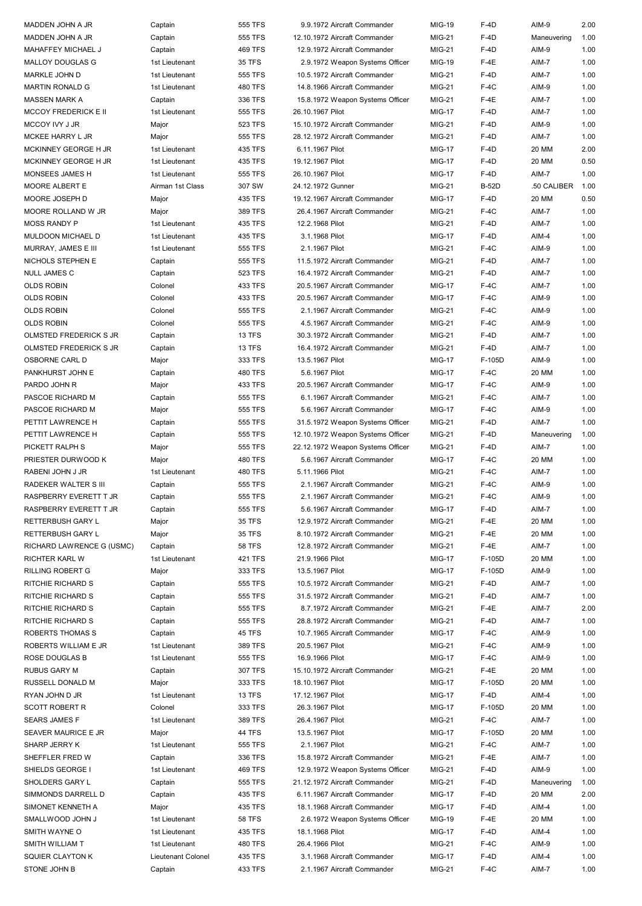| MADDEN JOHN A JR                        | Captain            | 555 TFS        | 9.9.1972 Aircraft Commander       | <b>MIG-19</b> | $F-4D$       | AIM-9       | 2.00 |
|-----------------------------------------|--------------------|----------------|-----------------------------------|---------------|--------------|-------------|------|
| MADDEN JOHN A JR                        | Captain            | 555 TFS        | 12.10.1972 Aircraft Commander     | <b>MIG-21</b> | $F-4D$       | Maneuvering | 1.00 |
| <b>MAHAFFEY MICHAEL J</b>               | Captain            | 469 TFS        | 12.9.1972 Aircraft Commander      | <b>MIG-21</b> | $F-4D$       | AIM-9       | 1.00 |
| MALLOY DOUGLAS G                        | 1st Lieutenant     | <b>35 TFS</b>  | 2.9.1972 Weapon Systems Officer   | <b>MIG-19</b> | $F-4E$       | AIM-7       | 1.00 |
| MARKLE JOHN D                           | 1st Lieutenant     | 555 TFS        | 10.5.1972 Aircraft Commander      | <b>MIG-21</b> | $F-4D$       | AIM-7       | 1.00 |
| <b>MARTIN RONALD G</b>                  | 1st Lieutenant     | 480 TFS        | 14.8.1966 Aircraft Commander      | <b>MIG-21</b> | $F-4C$       | AIM-9       | 1.00 |
| <b>MASSEN MARK A</b>                    | Captain            | 336 TFS        | 15.8.1972 Weapon Systems Officer  | <b>MIG-21</b> | $F-4E$       | AIM-7       | 1.00 |
| <b>MCCOY FREDERICK E II</b>             | 1st Lieutenant     | 555 TFS        | 26.10.1967 Pilot                  | <b>MIG-17</b> | $F-4D$       | AIM-7       | 1.00 |
| MCCOY IVY J JR                          | Major              | 523 TFS        | 15.10.1972 Aircraft Commander     | <b>MIG-21</b> | F-4D         | AIM-9       | 1.00 |
| MCKEE HARRY L JR                        | Major              | 555 TFS        | 28.12.1972 Aircraft Commander     | MIG-21        | $F-4D$       | AIM-7       | 1.00 |
| MCKINNEY GEORGE H JR                    | 1st Lieutenant     | 435 TFS        | 6.11.1967 Pilot                   | <b>MIG-17</b> | $F-4D$       | 20 MM       | 2.00 |
| MCKINNEY GEORGE H JR                    | 1st Lieutenant     | 435 TFS        | 19.12.1967 Pilot                  | <b>MIG-17</b> | $F-4D$       | 20 MM       | 0.50 |
| MONSEES JAMES H                         | 1st Lieutenant     | 555 TFS        | 26.10.1967 Pilot                  | <b>MIG-17</b> | $F-4D$       | AIM-7       | 1.00 |
| MOORE ALBERT E                          | Airman 1st Class   | 307 SW         | 24.12.1972 Gunner                 | <b>MIG-21</b> | <b>B-52D</b> | .50 CALIBER | 1.00 |
| MOORE JOSEPH D                          | Major              | 435 TFS        | 19.12.1967 Aircraft Commander     | <b>MIG-17</b> | $F-4D$       | 20 MM       | 0.50 |
| MOORE ROLLAND W JR                      | Major              | 389 TFS        | 26.4.1967 Aircraft Commander      | <b>MIG-21</b> | $F-4C$       | AIM-7       | 1.00 |
| <b>MOSS RANDY P</b>                     | 1st Lieutenant     | 435 TFS        | 12.2.1968 Pilot                   | <b>MIG-21</b> | $F-4D$       | AIM-7       | 1.00 |
| MULDOON MICHAEL D                       | 1st Lieutenant     | 435 TFS        | 3.1.1968 Pilot                    | <b>MIG-17</b> | $F-4D$       | AIM-4       | 1.00 |
| MURRAY, JAMES E III                     | 1st Lieutenant     | 555 TFS        | 2.1.1967 Pilot                    | <b>MIG-21</b> | $F-4C$       | AIM-9       | 1.00 |
| NICHOLS STEPHEN E                       |                    | 555 TFS        | 11.5.1972 Aircraft Commander      | <b>MIG-21</b> | $F-4D$       | AIM-7       | 1.00 |
|                                         | Captain            |                |                                   |               | $F-4D$       |             | 1.00 |
| NULL JAMES C                            | Captain            | 523 TFS        | 16.4.1972 Aircraft Commander      | <b>MIG-21</b> |              | AIM-7       |      |
| <b>OLDS ROBIN</b>                       | Colonel            | 433 TFS        | 20.5.1967 Aircraft Commander      | <b>MIG-17</b> | $F-4C$       | AIM-7       | 1.00 |
| <b>OLDS ROBIN</b>                       | Colonel            | 433 TFS        | 20.5.1967 Aircraft Commander      | <b>MIG-17</b> | $F-4C$       | AIM-9       | 1.00 |
| <b>OLDS ROBIN</b>                       | Colonel            | 555 TFS        | 2.1.1967 Aircraft Commander       | <b>MIG-21</b> | $F-4C$       | AIM-9       | 1.00 |
| <b>OLDS ROBIN</b>                       | Colonel            | 555 TFS        | 4.5.1967 Aircraft Commander       | <b>MIG-21</b> | $F-4C$       | AIM-9       | 1.00 |
| OLMSTED FREDERICK S JR                  | Captain            | 13 TFS         | 30.3.1972 Aircraft Commander      | MIG-21        | $F-4D$       | AIM-7       | 1.00 |
| OLMSTED FREDERICK S JR                  | Captain            | <b>13 TFS</b>  | 16.4.1972 Aircraft Commander      | <b>MIG-21</b> | $F-4D$       | AIM-7       | 1.00 |
| OSBORNE CARL D                          | Major              | 333 TFS        | 13.5.1967 Pilot                   | <b>MIG-17</b> | F-105D       | AIM-9       | 1.00 |
| PANKHURST JOHN E                        | Captain            | 480 TFS        | 5.6.1967 Pilot                    | <b>MIG-17</b> | $F-4C$       | 20 MM       | 1.00 |
| PARDO JOHN R                            | Major              | 433 TFS        | 20.5.1967 Aircraft Commander      | <b>MIG-17</b> | $F-4C$       | AIM-9       | 1.00 |
| PASCOE RICHARD M                        | Captain            | 555 TFS        | 6.1.1967 Aircraft Commander       | <b>MIG-21</b> | $F-4C$       | AIM-7       | 1.00 |
| PASCOE RICHARD M                        | Major              | 555 TFS        | 5.6.1967 Aircraft Commander       | <b>MIG-17</b> | $F-4C$       | AIM-9       | 1.00 |
| PETTIT LAWRENCE H                       | Captain            | 555 TFS        | 31.5.1972 Weapon Systems Officer  | <b>MIG-21</b> | $F-4D$       | AIM-7       | 1.00 |
| PETTIT LAWRENCE H                       | Captain            | 555 TFS        | 12.10.1972 Weapon Systems Officer | <b>MIG-21</b> | $F-4D$       | Maneuvering | 1.00 |
| PICKETT RALPH S                         | Major              | 555 TFS        | 22.12.1972 Weapon Systems Officer | <b>MIG-21</b> | $F-4D$       | AIM-7       | 1.00 |
| PRIESTER DURWOOD K                      | Major              | 480 TFS        | 5.6.1967 Aircraft Commander       | <b>MIG-17</b> | $F-4C$       | 20 MM       | 1.00 |
| RABENI JOHN J JR                        | 1st Lieutenant     | <b>480 TFS</b> | 5.11.1966 Pilot                   | <b>MIG-21</b> | $F-4C$       | AIM-7       | 1.00 |
| RADEKER WALTER S III                    | Captain            | 555 TFS        | 2.1.1967 Aircraft Commander       | MIG-21        | $F-4C$       | AIM-9       | 1.00 |
| RASPBERRY EVERETT T JR                  | Captain            | 555 TFS        | 2.1.1967 Aircraft Commander       | MIG-21        | $F-4C$       | AIM-9       | 1.00 |
| RASPBERRY EVERETT T JR                  | Captain            | 555 TFS        | 5.6.1967 Aircraft Commander       | <b>MIG-17</b> | $F-4D$       | AIM-7       | 1.00 |
| RETTERBUSH GARY L                       | Major              | <b>35 TFS</b>  | 12.9.1972 Aircraft Commander      | <b>MIG-21</b> | $F-4E$       | 20 MM       | 1.00 |
| RETTERBUSH GARY L                       | Major              | <b>35 TFS</b>  | 8.10.1972 Aircraft Commander      | <b>MIG-21</b> | $F-4E$       | 20 MM       | 1.00 |
| RICHARD LAWRENCE G (USMC)               | Captain            | <b>58 TFS</b>  | 12.8.1972 Aircraft Commander      | <b>MIG-21</b> | $F-4E$       | AIM-7       | 1.00 |
| RICHTER KARL W                          | 1st Lieutenant     | 421 TFS        | 21.9.1966 Pilot                   | <b>MIG-17</b> | F-105D       | 20 MM       | 1.00 |
| RILLING ROBERT G                        | Major              | 333 TFS        | 13.5.1967 Pilot                   | <b>MIG-17</b> | F-105D       | AIM-9       | 1.00 |
| RITCHIE RICHARD S                       | Captain            | 555 TFS        | 10.5.1972 Aircraft Commander      | <b>MIG-21</b> | F-4D         | AIM-7       | 1.00 |
| RITCHIE RICHARD S                       | Captain            | 555 TFS        | 31.5.1972 Aircraft Commander      | <b>MIG-21</b> | F-4D         | AIM-7       | 1.00 |
| RITCHIE RICHARD S                       | Captain            | 555 TFS        | 8.7.1972 Aircraft Commander       | <b>MIG-21</b> | $F-4E$       | AIM-7       | 2.00 |
| RITCHIE RICHARD S                       | Captain            | 555 TFS        | 28.8.1972 Aircraft Commander      | <b>MIG-21</b> | F-4D         | AIM-7       | 1.00 |
| <b>ROBERTS THOMAS S</b>                 | Captain            | 45 TFS         | 10.7.1965 Aircraft Commander      | <b>MIG-17</b> | $F-4C$       | AIM-9       | 1.00 |
| ROBERTS WILLIAM E JR                    | 1st Lieutenant     | 389 TFS        | 20.5.1967 Pilot                   | MIG-21        | $F-4C$       | AIM-9       | 1.00 |
| ROSE DOUGLAS B                          | 1st Lieutenant     | 555 TFS        | 16.9.1966 Pilot                   | <b>MIG-17</b> | $F-4C$       | AIM-9       | 1.00 |
| <b>RUBUS GARY M</b>                     | Captain            | 307 TFS        | 15.10.1972 Aircraft Commander     | MIG-21        | $F-4E$       | 20 MM       | 1.00 |
| RUSSELL DONALD M                        | Major              | 333 TFS        | 18.10.1967 Pilot                  | <b>MIG-17</b> | F-105D       | 20 MM       | 1.00 |
| RYAN JOHN D JR                          | 1st Lieutenant     | 13 TFS         | 17.12.1967 Pilot                  | <b>MIG-17</b> | $F-4D$       | AIM-4       | 1.00 |
| <b>SCOTT ROBERT R</b>                   | Colonel            | 333 TFS        | 26.3.1967 Pilot                   | <b>MIG-17</b> | F-105D       | 20 MM       | 1.00 |
| <b>SEARS JAMES F</b>                    | 1st Lieutenant     | 389 TFS        | 26.4.1967 Pilot                   | <b>MIG-21</b> | $F-4C$       | AIM-7       | 1.00 |
| SEAVER MAURICE E JR                     | Major              | 44 TFS         | 13.5.1967 Pilot                   | <b>MIG-17</b> | F-105D       | 20 MM       | 1.00 |
| SHARP JERRY K                           | 1st Lieutenant     | 555 TFS        | 2.1.1967 Pilot                    | <b>MIG-21</b> | $F-4C$       | AIM-7       | 1.00 |
| SHEFFLER FRED W                         | Captain            | 336 TFS        | 15.8.1972 Aircraft Commander      | <b>MIG-21</b> | $F-4E$       | AIM-7       | 1.00 |
| SHIELDS GEORGE I                        | 1st Lieutenant     | 469 TFS        | 12.9.1972 Weapon Systems Officer  | <b>MIG-21</b> | $F-4D$       | AIM-9       | 1.00 |
| SHOLDERS GARY L                         | Captain            | 555 TFS        | 21.12.1972 Aircraft Commander     | <b>MIG-21</b> | $F-4D$       | Maneuvering | 1.00 |
| SIMMONDS DARRELL D                      | Captain            | 435 TFS        | 6.11.1967 Aircraft Commander      | <b>MIG-17</b> | F-4D         | 20 MM       | 2.00 |
| SIMONET KENNETH A                       | Major              | 435 TFS        | 18.1.1968 Aircraft Commander      | <b>MIG-17</b> | F-4D         | AIM-4       | 1.00 |
| SMALLWOOD JOHN J                        | 1st Lieutenant     | <b>58 TFS</b>  | 2.6.1972 Weapon Systems Officer   | <b>MIG-19</b> | $F-4E$       | 20 MM       | 1.00 |
| SMITH WAYNE O                           | 1st Lieutenant     | 435 TFS        | 18.1.1968 Pilot                   | <b>MIG-17</b> | F-4D         | AIM-4       | 1.00 |
| SMITH WILLIAM T                         | 1st Lieutenant     | 480 TFS        | 26.4.1966 Pilot                   | MIG-21        | $F-4C$       | AIM-9       | 1.00 |
|                                         |                    | 435 TFS        | 3.1.1968 Aircraft Commander       | <b>MIG-17</b> | $F-4D$       | AIM-4       | 1.00 |
| <b>SQUIER CLAYTON K</b><br>STONE JOHN B | Lieutenant Colonel |                |                                   |               |              |             |      |
|                                         | Captain            | 433 TFS        | 2.1.1967 Aircraft Commander       | <b>MIG-21</b> | $F-4C$       | AIM-7       | 1.00 |